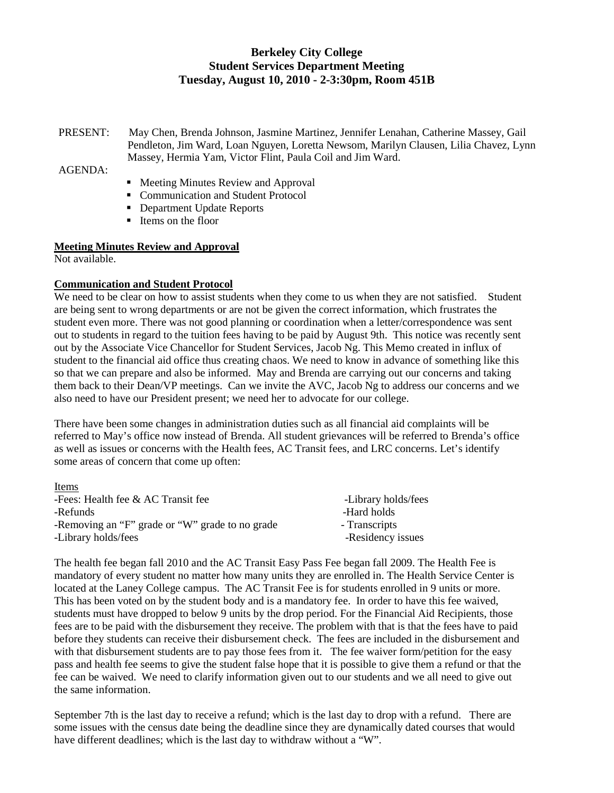# **Berkeley City College Student Services Department Meeting Tuesday, August 10, 2010 - 2-3:30pm, Room 451B**

PRESENT: May Chen, Brenda Johnson, Jasmine Martinez, Jennifer Lenahan, Catherine Massey, Gail Pendleton, Jim Ward, Loan Nguyen, Loretta Newsom, Marilyn Clausen, Lilia Chavez, Lynn Massey, Hermia Yam, Victor Flint, Paula Coil and Jim Ward.

 $AGENDA$ 

- Meeting Minutes Review and Approval
- Communication and Student Protocol
- Department Update Reports
- Items on the floor

#### **Meeting Minutes Review and Approval**

Not available.

 $\mathbf{L}$  is the set

#### **Communication and Student Protocol**

We need to be clear on how to assist students when they come to us when they are not satisfied. Student are being sent to wrong departments or are not be given the correct information, which frustrates the student even more. There was not good planning or coordination when a letter/correspondence was sent out to students in regard to the tuition fees having to be paid by August 9th. This notice was recently sent out by the Associate Vice Chancellor for Student Services, Jacob Ng. This Memo created in influx of student to the financial aid office thus creating chaos. We need to know in advance of something like this so that we can prepare and also be informed. May and Brenda are carrying out our concerns and taking them back to their Dean/VP meetings. Can we invite the AVC, Jacob Ng to address our concerns and we also need to have our President present; we need her to advocate for our college.

There have been some changes in administration duties such as all financial aid complaints will be referred to May's office now instead of Brenda. All student grievances will be referred to Brenda's office as well as issues or concerns with the Health fees, AC Transit fees, and LRC concerns. Let's identify some areas of concern that come up often:

| <b>Items</b>                                    |                     |
|-------------------------------------------------|---------------------|
| -Fees: Health fee $&$ AC Transit fee            | -Library holds/fees |
| -Refunds                                        | -Hard holds         |
| -Removing an "F" grade or "W" grade to no grade | - Transcripts       |
| -Library holds/fees                             | -Residency issues   |

The health fee began fall 2010 and the AC Transit Easy Pass Fee began fall 2009. The Health Fee is mandatory of every student no matter how many units they are enrolled in. The Health Service Center is located at the Laney College campus. The AC Transit Fee is for students enrolled in 9 units or more. This has been voted on by the student body and is a mandatory fee. In order to have this fee waived, students must have dropped to below 9 units by the drop period. For the Financial Aid Recipients, those fees are to be paid with the disbursement they receive. The problem with that is that the fees have to paid before they students can receive their disbursement check. The fees are included in the disbursement and with that disbursement students are to pay those fees from it. The fee waiver form/petition for the easy pass and health fee seems to give the student false hope that it is possible to give them a refund or that the fee can be waived. We need to clarify information given out to our students and we all need to give out the same information.

September 7th is the last day to receive a refund; which is the last day to drop with a refund. There are some issues with the census date being the deadline since they are dynamically dated courses that would have different deadlines; which is the last day to withdraw without a "W".